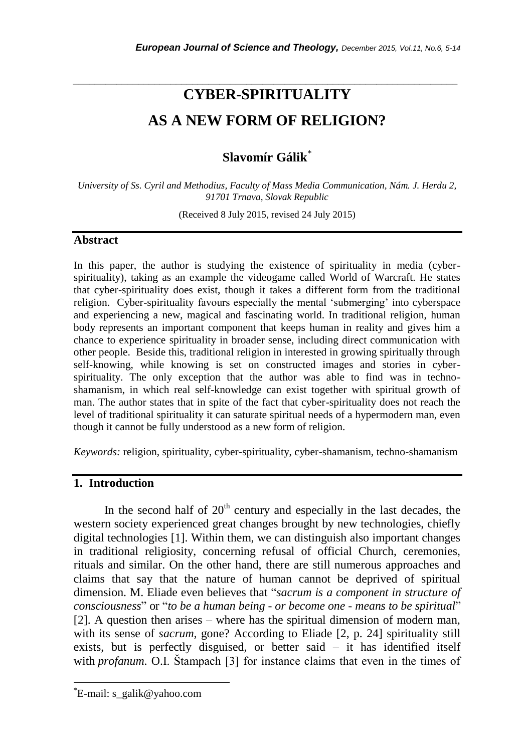# **CYBER-SPIRITUALITY AS A NEW FORM OF RELIGION?**

*\_\_\_\_\_\_\_\_\_\_\_\_\_\_\_\_\_\_\_\_\_\_\_\_\_\_\_\_\_\_\_\_\_\_\_\_\_\_\_\_\_\_\_\_\_\_\_\_\_\_\_\_\_\_\_\_\_\_\_\_\_\_\_\_\_\_\_\_\_\_\_*

## **Slavomír Gálik**\*

*University of Ss. Cyril and Methodius, Faculty of Mass Media Communication, Nám. J. Herdu 2, 91701 Trnava, Slovak Republic*

(Received 8 July 2015, revised 24 July 2015)

#### **Abstract**

In this paper, the author is studying the existence of spirituality in media (cyberspirituality), taking as an example the videogame called World of Warcraft. He states that cyber-spirituality does exist, though it takes a different form from the traditional religion. Cyber-spirituality favours especially the mental "submerging" into cyberspace and experiencing a new, magical and fascinating world. In traditional religion, human body represents an important component that keeps human in reality and gives him a chance to experience spirituality in broader sense, including direct communication with other people. Beside this, traditional religion in interested in growing spiritually through self-knowing, while knowing is set on constructed images and stories in cyberspirituality. The only exception that the author was able to find was in technoshamanism, in which real self-knowledge can exist together with spiritual growth of man. The author states that in spite of the fact that cyber-spirituality does not reach the level of traditional spirituality it can saturate spiritual needs of a hypermodern man, even though it cannot be fully understood as a new form of religion.

*Keywords:* religion, spirituality, cyber-spirituality, cyber-shamanism, techno-shamanism

## **1. Introduction**

In the second half of  $20<sup>th</sup>$  century and especially in the last decades, the western society experienced great changes brought by new technologies, chiefly digital technologies [1]. Within them, we can distinguish also important changes in traditional religiosity, concerning refusal of official Church, ceremonies, rituals and similar. On the other hand, there are still numerous approaches and claims that say that the nature of human cannot be deprived of spiritual dimension. M. Eliade even believes that "*sacrum is a component in structure of consciousness*" or "*to be a human being - or become one - means to be spiritual*" [2]. A question then arises – where has the spiritual dimension of modern man, with its sense of *sacrum,* gone? According to Eliade [2, p. 24] spirituality still exists, but is perfectly disguised, or better said – it has identified itself with *profanum*. O.I. Štampach [3] for instance claims that even in the times of

l

<sup>\*</sup>E-mail: s\_galik@yahoo.com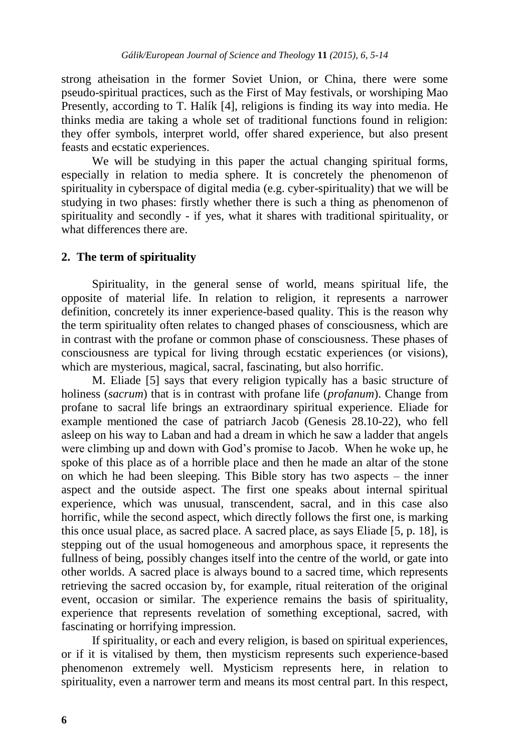strong atheisation in the former Soviet Union, or China, there were some pseudo-spiritual practices, such as the First of May festivals, or worshiping Mao Presently, according to T. Halík [4], religions is finding its way into media. He thinks media are taking a whole set of traditional functions found in religion: they offer symbols, interpret world, offer shared experience, but also present feasts and ecstatic experiences.

We will be studying in this paper the actual changing spiritual forms, especially in relation to media sphere. It is concretely the phenomenon of spirituality in cyberspace of digital media (e.g. cyber-spirituality) that we will be studying in two phases: firstly whether there is such a thing as phenomenon of spirituality and secondly - if yes, what it shares with traditional spirituality, or what differences there are.

#### **2. The term of spirituality**

Spirituality, in the general sense of world, means spiritual life, the opposite of material life. In relation to religion, it represents a narrower definition, concretely its inner experience-based quality. This is the reason why the term spirituality often relates to changed phases of consciousness, which are in contrast with the profane or common phase of consciousness. These phases of consciousness are typical for living through ecstatic experiences (or visions), which are mysterious, magical, sacral, fascinating, but also horrific.

M. Eliade [5] says that every religion typically has a basic structure of holiness (*sacrum*) that is in contrast with profane life (*profanum*). Change from profane to sacral life brings an extraordinary spiritual experience. Eliade for example mentioned the case of patriarch Jacob (Genesis 28.10-22), who fell asleep on his way to Laban and had a dream in which he saw a ladder that angels were climbing up and down with God's promise to Jacob. When he woke up, he spoke of this place as of a horrible place and then he made an altar of the stone on which he had been sleeping. This Bible story has two aspects – the inner aspect and the outside aspect. The first one speaks about internal spiritual experience, which was unusual, transcendent, sacral, and in this case also horrific, while the second aspect, which directly follows the first one, is marking this once usual place, as sacred place. A sacred place, as says Eliade [5, p. 18], is stepping out of the usual homogeneous and amorphous space, it represents the fullness of being, possibly changes itself into the centre of the world, or gate into other worlds. A sacred place is always bound to a sacred time, which represents retrieving the sacred occasion by, for example, ritual reiteration of the original event, occasion or similar. The experience remains the basis of spirituality, experience that represents revelation of something exceptional, sacred, with fascinating or horrifying impression.

If spirituality, or each and every religion, is based on spiritual experiences, or if it is vitalised by them, then mysticism represents such experience-based phenomenon extremely well. Mysticism represents here, in relation to spirituality, even a narrower term and means its most central part. In this respect,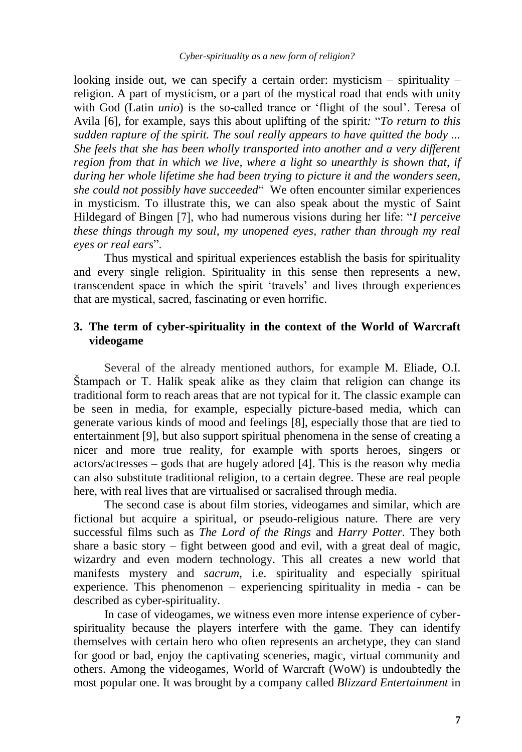looking inside out, we can specify a certain order: mysticism  $-$  spirituality  $$ religion. A part of mysticism, or a part of the mystical road that ends with unity with God (Latin *unio*) is the so-called trance or 'flight of the soul'. Teresa of Avila [6], for example, says this about uplifting of the spirit*:* "*To return to this sudden rapture of the spirit. The soul really appears to have quitted the body ... She feels that she has been wholly transported into another and a very different region from that in which we live, where a light so unearthly is shown that, if during her whole lifetime she had been trying to picture it and the wonders seen, she could not possibly have succeeded*" We often encounter similar experiences in mysticism. To illustrate this, we can also speak about the mystic of Saint Hildegard of Bingen [7], who had numerous visions during her life: "*I perceive these things through my soul, my unopened eyes, rather than through my real eyes or real ears*".

Thus mystical and spiritual experiences establish the basis for spirituality and every single religion. Spirituality in this sense then represents a new, transcendent space in which the spirit "travels" and lives through experiences that are mystical, sacred, fascinating or even horrific.

## **3. The term of cyber-spirituality in the context of the World of Warcraft videogame**

Several of the already mentioned authors, for example M. Eliade, O.I. Stampach or T. Halík speak alike as they claim that religion can change its traditional form to reach areas that are not typical for it. The classic example can be seen in media, for example, especially picture-based media, which can generate various kinds of mood and feelings [8], especially those that are tied to entertainment [9], but also support spiritual phenomena in the sense of creating a nicer and more true reality, for example with sports heroes, singers or actors/actresses – gods that are hugely adored [4]. This is the reason why media can also substitute traditional religion, to a certain degree. These are real people here, with real lives that are virtualised or sacralised through media.

The second case is about film stories, videogames and similar, which are fictional but acquire a spiritual, or pseudo-religious nature. There are very successful films such as *The Lord of the Rings* and *Harry Potter*. They both share a basic story – fight between good and evil, with a great deal of magic, wizardry and even modern technology. This all creates a new world that manifests mystery and *sacrum*, i.e. spirituality and especially spiritual experience. This phenomenon – experiencing spirituality in media - can be described as cyber-spirituality.

In case of videogames, we witness even more intense experience of cyberspirituality because the players interfere with the game. They can identify themselves with certain hero who often represents an archetype, they can stand for good or bad, enjoy the captivating sceneries, magic, virtual community and others. Among the videogames, World of Warcraft (WoW) is undoubtedly the most popular one. It was brought by a company called *Blizzard Entertainment* in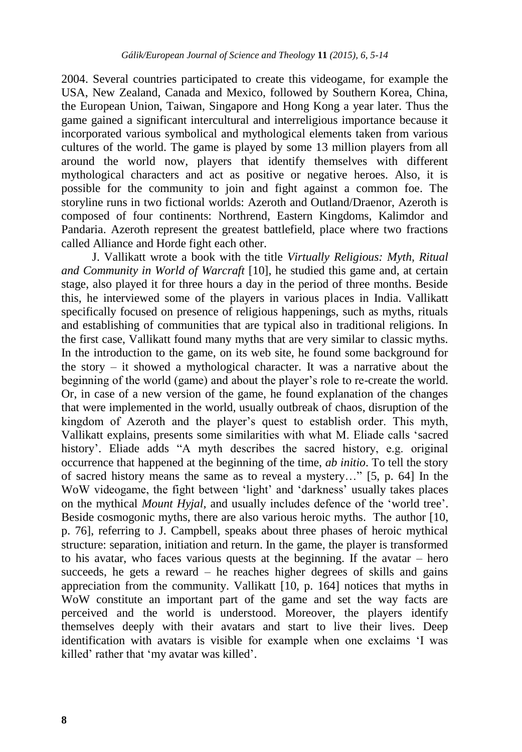2004. Several countries participated to create this videogame, for example the USA, New Zealand, Canada and Mexico, followed by Southern Korea, China, the European Union, Taiwan, Singapore and Hong Kong a year later. Thus the game gained a significant intercultural and interreligious importance because it incorporated various symbolical and mythological elements taken from various cultures of the world. The game is played by some 13 million players from all around the world now, players that identify themselves with different mythological characters and act as positive or negative heroes. Also, it is possible for the community to join and fight against a common foe. The storyline runs in two fictional worlds: Azeroth and Outland/Draenor, Azeroth is composed of four continents: Northrend, Eastern Kingdoms, Kalimdor and Pandaria. Azeroth represent the greatest battlefield, place where two fractions called Alliance and Horde fight each other.

J. Vallikatt wrote a book with the title *Virtually Religious: Myth, Ritual and Community in World of Warcraft* [10], he studied this game and, at certain stage, also played it for three hours a day in the period of three months. Beside this, he interviewed some of the players in various places in India. Vallikatt specifically focused on presence of religious happenings, such as myths, rituals and establishing of communities that are typical also in traditional religions. In the first case, Vallikatt found many myths that are very similar to classic myths. In the introduction to the game, on its web site, he found some background for the story – it showed a mythological character. It was a narrative about the beginning of the world (game) and about the player's role to re-create the world. Or, in case of a new version of the game, he found explanation of the changes that were implemented in the world, usually outbreak of chaos, disruption of the kingdom of Azeroth and the player's quest to establish order. This myth, Vallikatt explains, presents some similarities with what M. Eliade calls "sacred history'. Eliade adds "A myth describes the sacred history, e.g. original occurrence that happened at the beginning of the time, *ab initio*. To tell the story of sacred history means the same as to reveal a mystery…" [5, p. 64] In the WoW videogame, the fight between 'light' and 'darkness' usually takes places on the mythical *Mount Hyjal,* and usually includes defence of the "world tree". Beside cosmogonic myths, there are also various heroic myths. The author [10, p. 76], referring to J. Campbell, speaks about three phases of heroic mythical structure: separation, initiation and return. In the game, the player is transformed to his avatar, who faces various quests at the beginning. If the avatar – hero succeeds, he gets a reward – he reaches higher degrees of skills and gains appreciation from the community. Vallikatt [10, p. 164] notices that myths in WoW constitute an important part of the game and set the way facts are perceived and the world is understood. Moreover, the players identify themselves deeply with their avatars and start to live their lives. Deep identification with avatars is visible for example when one exclaims "I was killed' rather that 'my avatar was killed'.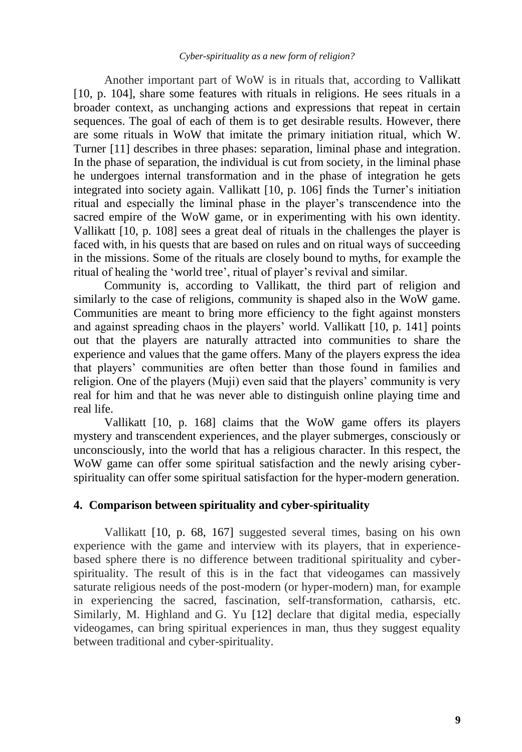Another important part of WoW is in rituals that, according to Vallikatt [10, p. 104], share some features with rituals in religions. He sees rituals in a broader context, as unchanging actions and expressions that repeat in certain sequences. The goal of each of them is to get desirable results. However, there are some rituals in WoW that imitate the primary initiation ritual, which W. Turner [11] describes in three phases: separation, liminal phase and integration. In the phase of separation, the individual is cut from society, in the liminal phase he undergoes internal transformation and in the phase of integration he gets integrated into society again. Vallikatt [10, p. 106] finds the Turner's initiation ritual and especially the liminal phase in the player"s transcendence into the sacred empire of the WoW game, or in experimenting with his own identity. Vallikatt [10, p. 108] sees a great deal of rituals in the challenges the player is faced with, in his quests that are based on rules and on ritual ways of succeeding in the missions. Some of the rituals are closely bound to myths, for example the ritual of healing the 'world tree', ritual of player's revival and similar.

Community is, according to Vallikatt, the third part of religion and similarly to the case of religions, community is shaped also in the WoW game. Communities are meant to bring more efficiency to the fight against monsters and against spreading chaos in the players' world. Vallikatt [10, p. 141] points out that the players are naturally attracted into communities to share the experience and values that the game offers. Many of the players express the idea that players" communities are often better than those found in families and religion. One of the players (Muji) even said that the players' community is very real for him and that he was never able to distinguish online playing time and real life.

Vallikatt [10, p. 168] claims that the WoW game offers its players mystery and transcendent experiences, and the player submerges, consciously or unconsciously, into the world that has a religious character. In this respect, the WoW game can offer some spiritual satisfaction and the newly arising cyberspirituality can offer some spiritual satisfaction for the hyper-modern generation.

#### **4. Comparison between spirituality and cyber-spirituality**

Vallikatt [10, p. 68, 167] suggested several times, basing on his own experience with the game and interview with its players, that in experiencebased sphere there is no difference between traditional spirituality and cyberspirituality. The result of this is in the fact that videogames can massively saturate religious needs of the post-modern (or hyper-modern) man, for example in experiencing the sacred, fascination, self-transformation, catharsis, etc. Similarly, M. Highland and G. Yu [12] declare that digital media, especially videogames, can bring spiritual experiences in man, thus they suggest equality between traditional and cyber-spirituality.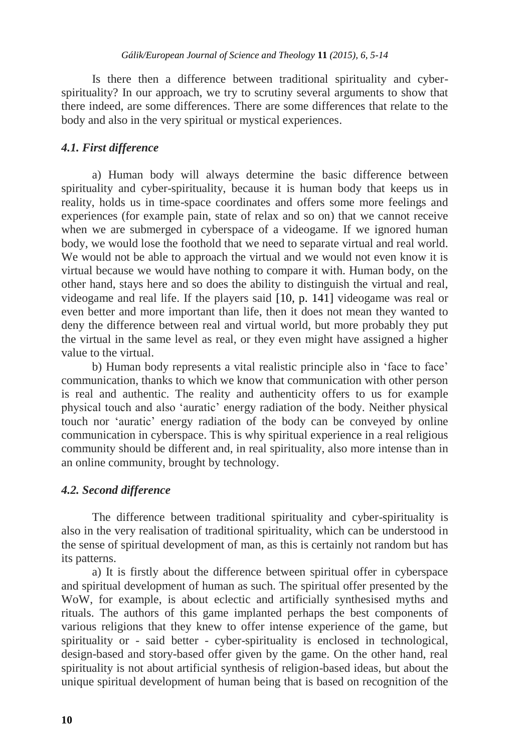Is there then a difference between traditional spirituality and cyberspirituality? In our approach, we try to scrutiny several arguments to show that there indeed, are some differences. There are some differences that relate to the body and also in the very spiritual or mystical experiences.

#### *4.1. First difference*

a) Human body will always determine the basic difference between spirituality and cyber-spirituality, because it is human body that keeps us in reality, holds us in time-space coordinates and offers some more feelings and experiences (for example pain, state of relax and so on) that we cannot receive when we are submerged in cyberspace of a videogame. If we ignored human body, we would lose the foothold that we need to separate virtual and real world. We would not be able to approach the virtual and we would not even know it is virtual because we would have nothing to compare it with. Human body, on the other hand, stays here and so does the ability to distinguish the virtual and real, videogame and real life. If the players said [10, p. 141] videogame was real or even better and more important than life, then it does not mean they wanted to deny the difference between real and virtual world, but more probably they put the virtual in the same level as real, or they even might have assigned a higher value to the virtual.

b) Human body represents a vital realistic principle also in "face to face" communication, thanks to which we know that communication with other person is real and authentic. The reality and authenticity offers to us for example physical touch and also "auratic" energy radiation of the body. Neither physical touch nor "auratic" energy radiation of the body can be conveyed by online communication in cyberspace. This is why spiritual experience in a real religious community should be different and, in real spirituality, also more intense than in an online community, brought by technology.

#### *4.2. Second difference*

The difference between traditional spirituality and cyber-spirituality is also in the very realisation of traditional spirituality, which can be understood in the sense of spiritual development of man, as this is certainly not random but has its patterns.

a) It is firstly about the difference between spiritual offer in cyberspace and spiritual development of human as such. The spiritual offer presented by the WoW, for example, is about eclectic and artificially synthesised myths and rituals. The authors of this game implanted perhaps the best components of various religions that they knew to offer intense experience of the game, but spirituality or - said better - cyber-spirituality is enclosed in technological, design-based and story-based offer given by the game. On the other hand, real spirituality is not about artificial synthesis of religion-based ideas, but about the unique spiritual development of human being that is based on recognition of the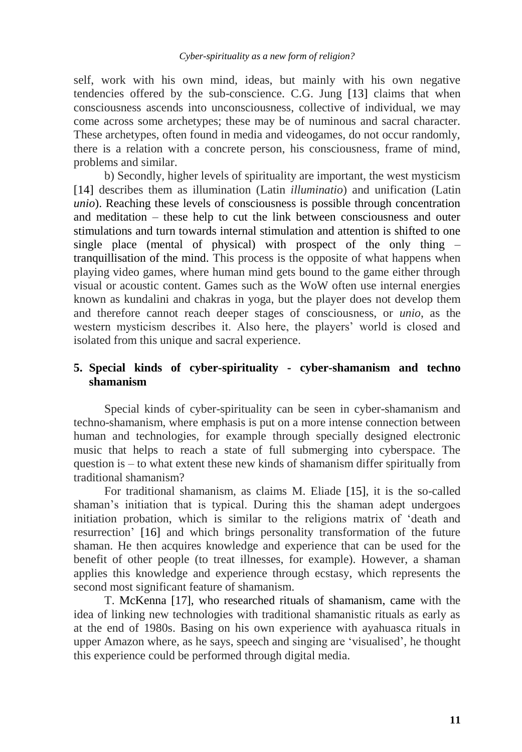self, work with his own mind, ideas, but mainly with his own negative tendencies offered by the sub-conscience. C.G. Jung [13] claims that when consciousness ascends into unconsciousness, collective of individual, we may come across some archetypes; these may be of numinous and sacral character. These archetypes, often found in media and videogames, do not occur randomly, there is a relation with a concrete person, his consciousness, frame of mind, problems and similar.

b) Secondly, higher levels of spirituality are important, the west mysticism [14] describes them as illumination (Latin *illuminatio*) and unification (Latin *unio*). Reaching these levels of consciousness is possible through concentration and meditation – these help to cut the link between consciousness and outer stimulations and turn towards internal stimulation and attention is shifted to one single place (mental of physical) with prospect of the only thing – tranquillisation of the mind. This process is the opposite of what happens when playing video games, where human mind gets bound to the game either through visual or acoustic content. Games such as the WoW often use internal energies known as kundalini and chakras in yoga, but the player does not develop them and therefore cannot reach deeper stages of consciousness, or *unio*, as the western mysticism describes it. Also here, the players" world is closed and isolated from this unique and sacral experience.

## **5. Special kinds of cyber-spirituality - cyber-shamanism and techno shamanism**

Special kinds of cyber-spirituality can be seen in cyber-shamanism and techno-shamanism, where emphasis is put on a more intense connection between human and technologies, for example through specially designed electronic music that helps to reach a state of full submerging into cyberspace. The question is  $-$  to what extent these new kinds of shamanism differ spiritually from traditional shamanism?

For traditional shamanism, as claims M. Eliade [15], it is the so-called shaman"s initiation that is typical. During this the shaman adept undergoes initiation probation, which is similar to the religions matrix of "death and resurrection" [16] and which brings personality transformation of the future shaman. He then acquires knowledge and experience that can be used for the benefit of other people (to treat illnesses, for example). However, a shaman applies this knowledge and experience through ecstasy, which represents the second most significant feature of shamanism.

T. McKenna [17], who researched rituals of shamanism, came with the idea of linking new technologies with traditional shamanistic rituals as early as at the end of 1980s. Basing on his own experience with ayahuasca rituals in upper Amazon where, as he says, speech and singing are "visualised", he thought this experience could be performed through digital media.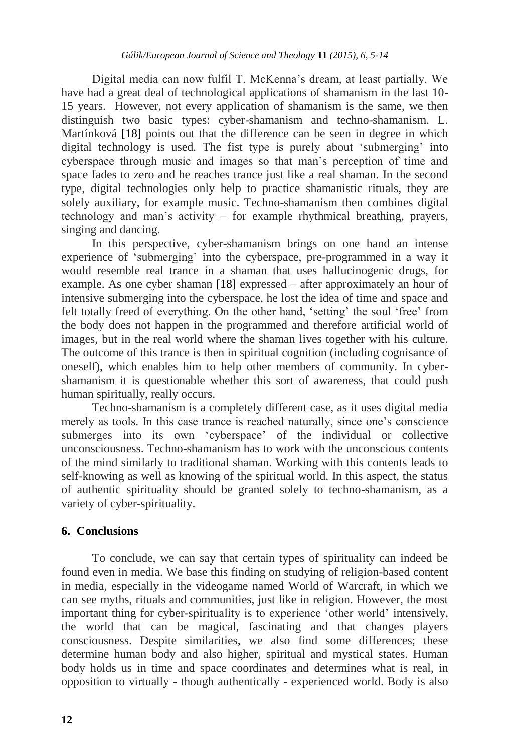Digital media can now fulfil T. McKenna"s dream, at least partially. We have had a great deal of technological applications of shamanism in the last 10- 15 years. However, not every application of shamanism is the same, we then distinguish two basic types: cyber-shamanism and techno-shamanism. L. Martínková [18] points out that the difference can be seen in degree in which digital technology is used. The fist type is purely about 'submerging' into cyberspace through music and images so that man"s perception of time and space fades to zero and he reaches trance just like a real shaman. In the second type, digital technologies only help to practice shamanistic rituals, they are solely auxiliary, for example music. Techno-shamanism then combines digital technology and man"s activity – for example rhythmical breathing, prayers, singing and dancing.

In this perspective, cyber-shamanism brings on one hand an intense experience of 'submerging' into the cyberspace, pre-programmed in a way it would resemble real trance in a shaman that uses hallucinogenic drugs, for example. As one cyber shaman [18] expressed – after approximately an hour of intensive submerging into the cyberspace, he lost the idea of time and space and felt totally freed of everything. On the other hand, "setting" the soul "free" from the body does not happen in the programmed and therefore artificial world of images, but in the real world where the shaman lives together with his culture. The outcome of this trance is then in spiritual cognition (including cognisance of oneself), which enables him to help other members of community. In cybershamanism it is questionable whether this sort of awareness, that could push human spiritually, really occurs.

Techno-shamanism is a completely different case, as it uses digital media merely as tools. In this case trance is reached naturally, since one"s conscience submerges into its own "cyberspace" of the individual or collective unconsciousness. Techno-shamanism has to work with the unconscious contents of the mind similarly to traditional shaman. Working with this contents leads to self-knowing as well as knowing of the spiritual world. In this aspect, the status of authentic spirituality should be granted solely to techno-shamanism, as a variety of cyber-spirituality.

#### **6. Conclusions**

To conclude, we can say that certain types of spirituality can indeed be found even in media. We base this finding on studying of religion-based content in media, especially in the videogame named World of Warcraft, in which we can see myths, rituals and communities, just like in religion. However, the most important thing for cyber-spirituality is to experience "other world" intensively, the world that can be magical, fascinating and that changes players consciousness. Despite similarities, we also find some differences; these determine human body and also higher, spiritual and mystical states. Human body holds us in time and space coordinates and determines what is real, in opposition to virtually - though authentically - experienced world. Body is also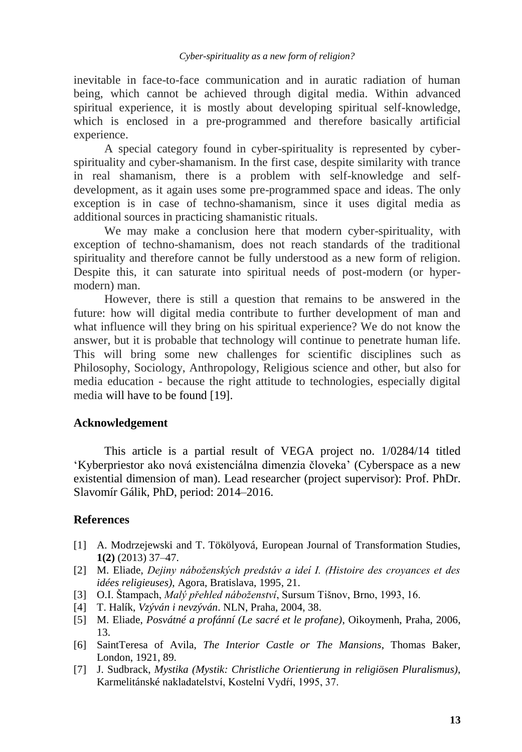inevitable in face-to-face communication and in auratic radiation of human being, which cannot be achieved through digital media. Within advanced spiritual experience, it is mostly about developing spiritual self-knowledge, which is enclosed in a pre-programmed and therefore basically artificial experience.

A special category found in cyber-spirituality is represented by cyberspirituality and cyber-shamanism. In the first case, despite similarity with trance in real shamanism, there is a problem with self-knowledge and selfdevelopment, as it again uses some pre-programmed space and ideas. The only exception is in case of techno-shamanism, since it uses digital media as additional sources in practicing shamanistic rituals.

We may make a conclusion here that modern cyber-spirituality, with exception of techno-shamanism, does not reach standards of the traditional spirituality and therefore cannot be fully understood as a new form of religion. Despite this, it can saturate into spiritual needs of post-modern (or hypermodern) man.

However, there is still a question that remains to be answered in the future: how will digital media contribute to further development of man and what influence will they bring on his spiritual experience? We do not know the answer, but it is probable that technology will continue to penetrate human life. This will bring some new challenges for scientific disciplines such as Philosophy, Sociology, Anthropology, Religious science and other, but also for media education - because the right attitude to technologies, especially digital media will have to be found [19].

## **Acknowledgement**

This article is a partial result of VEGA project no. 1/0284/14 titled "Kyberpriestor ako nová existenciálna dimenzia človeka" (Cyberspace as a new existential dimension of man). Lead researcher (project supervisor): Prof. PhDr. Slavomír Gálik, PhD, period: 2014–2016.

## **References**

- [1] A. Modrzejewski and T. Tökölyová, European Journal of Transformation Studies, **1(2)** (2013) 37–47.
- [2] M. Eliade, *Dejiny náboženských predstáv a ideí I. (Histoire des croyances et des idées religieuses)*, Agora, Bratislava, 1995, 21.
- [3] O.I. Ńtampach, *Malý přehled náboženství*, Sursum Tińnov, Brno, 1993, 16.
- [4] T. Halík, *Vzýván i nevzýván*. NLN, Praha, 2004, 38.
- [5] M. Eliade, *Posvátné a profánní (Le sacré et le profane)*, Oikoymenh, Praha, 2006, 13.
- [6] SaintTeresa of Avila, *The Interior Castle or The Mansions*, Thomas Baker, London, 1921, 89.
- [7] J. Sudbrack, *Mystika (Mystik: Christliche Orientierung in religiösen Pluralismus)*, Karmelitánské nakladatelství, Kostelní Vydŕí, 1995, 37.